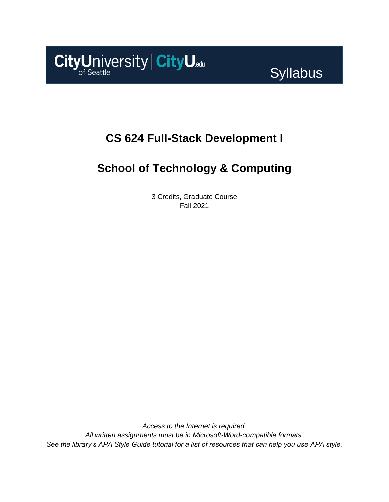

Syllabus

## **CS 624 Full-Stack Development I**

# **School of Technology & Computing**

3 Credits, Graduate Course Fall 2021

*Access to the Internet is required. All written assignments must be in Microsoft-Word-compatible formats. See the library's APA Style Guide tutorial for a list of resources that can help you use APA style.*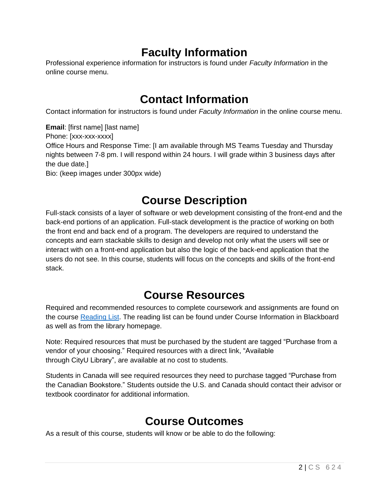## **Faculty Information**

Professional experience information for instructors is found under *Faculty Information* in the online course menu.

### **Contact Information**

Contact information for instructors is found under *Faculty Information* in the online course menu.

**Email**: [first name] [last name] Phone: [xxx-xxx-xxxx] Office Hours and Response Time: [I am available through MS Teams Tuesday and Thursday nights between 7-8 pm. I will respond within 24 hours. I will grade within 3 business days after the due date.] Bio: (keep images under 300px wide)

# **Course Description**

Full-stack consists of a layer of software or web development consisting of the front-end and the back-end portions of an application. Full-stack development is the practice of working on both the front end and back end of a program. The developers are required to understand the concepts and earn stackable skills to design and develop not only what the users will see or interact with on a front-end application but also the logic of the back-end application that the users do not see. In this course, students will focus on the concepts and skills of the front-end stack.

# **Course Resources**

Required and recommended resources to complete coursework and assignments are found on the course [Reading](https://nam11.safelinks.protection.outlook.com/?url=https%3A%2F%2Fcityu.alma.exlibrisgroup.com%2Fleganto%2Flogin%3Fauth%3DSAML&data=04%7C01%7Cchungsam%40cityu.edu%7Ce83102e3b3cd44013e6f08d90c4e2657%7Cb3fa96d9f5154662add763d854e39e63%7C1%7C0%7C637554352062955203%7CUnknown%7CTWFpbGZsb3d8eyJWIjoiMC4wLjAwMDAiLCJQIjoiV2luMzIiLCJBTiI6Ik1haWwiLCJXVCI6Mn0%3D%7C1000&sdata=bN35zwEbiFZuL%2BlFscxWGv%2BPQ1%2FipHBfzM3qTbqOHdo%3D&reserved=0) List. The reading list can be found under Course Information in Blackboard as well as from the library homepage.

Note: Required resources that must be purchased by the student are tagged "Purchase from a vendor of your choosing." Required resources with a direct link, "Available through CityU Library", are available at no cost to students.

Students in Canada will see required resources they need to purchase tagged "Purchase from the Canadian Bookstore." Students outside the U.S. and Canada should contact their advisor or textbook coordinator for additional information.

# **Course Outcomes**

As a result of this course, students will know or be able to do the following: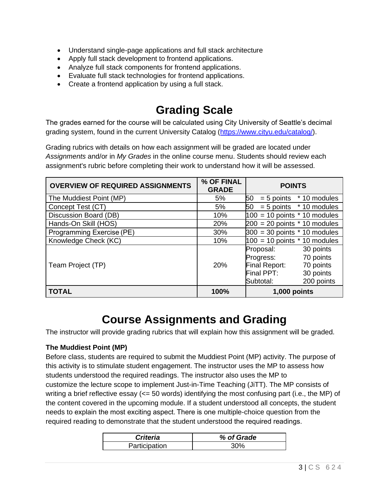- Understand single-page applications and full stack architecture
- Apply full stack development to frontend applications.
- Analyze full stack components for frontend applications.
- Evaluate full stack technologies for frontend applications.
- Create a frontend application by using a full stack.

### **Grading Scale**

The grades earned for the course will be calculated using City University of Seattle's decimal grading system, found in the current University Catalog [\(https://www.cityu.edu/catalog/\)](https://www.cityu.edu/catalog/).

Grading rubrics with details on how each assignment will be graded are located under *Assignments* and/or in *My Grades* in the online course menu. Students should review each assignment's rubric before completing their work to understand how it will be assessed.

| <b>OVERVIEW OF REQUIRED ASSIGNMENTS</b> | % OF FINAL<br><b>GRADE</b> | <b>POINTS</b>                                                                                                                               |  |
|-----------------------------------------|----------------------------|---------------------------------------------------------------------------------------------------------------------------------------------|--|
| The Muddiest Point (MP)                 | 5%                         | 50<br>$= 5$ points $*$ 10 modules                                                                                                           |  |
| Concept Test (CT)                       | 5%                         | $50 = 5$ points $*10$ modules                                                                                                               |  |
| Discussion Board (DB)                   | 10%                        | $100 = 10$ points $*$ 10 modules                                                                                                            |  |
| Hands-On Skill (HOS)                    | 20%                        | $200 = 20$ points $*$ 10 modules                                                                                                            |  |
| Programming Exercise (PE)               | 30%                        | $300 = 30$ points $*$ 10 modules                                                                                                            |  |
| Knowledge Check (KC)                    | 10%                        | $100 = 10$ points $*$ 10 modules                                                                                                            |  |
| Team Project (TP)                       | <b>20%</b>                 | 30 points<br>Proposal:<br>70 points<br>Progress:<br><b>Final Report:</b><br>70 points<br>Final PPT:<br>30 points<br>200 points<br>Subtotal: |  |
| <b>TOTAL</b>                            | 100%                       | 1,000 points                                                                                                                                |  |

### **Course Assignments and Grading**

The instructor will provide grading rubrics that will explain how this assignment will be graded.

#### **The Muddiest Point (MP)**

Before class, students are required to submit the Muddiest Point (MP) activity. The purpose of this activity is to stimulate student engagement. The instructor uses the MP to assess how students understood the required readings. The instructor also uses the MP to customize the lecture scope to implement Just-in-Time Teaching (JiTT). The MP consists of writing a brief reflective essay ( $\leq$  50 words) identifying the most confusing part (i.e., the MP) of the content covered in the upcoming module. If a student understood all concepts, the student needs to explain the most exciting aspect. There is one multiple-choice question from the required reading to demonstrate that the student understood the required readings.  

| <b>Criteria</b> | % of Grade |
|-----------------|------------|
| Participation   | ∕ס∩ג       |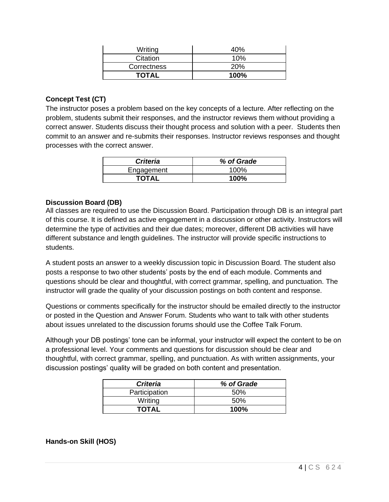| Writing      | 10%        |
|--------------|------------|
| Citation     | 10%        |
| Correctness  | <b>20%</b> |
| <b>TOTAL</b> | $100\%$    |

#### **Concept Test (CT)**

The instructor poses a problem based on the key concepts of a lecture. After reflecting on the problem, students submit their responses, and the instructor reviews them without providing a correct answer. Students discuss their thought process and solution with a peer. Students then commit to an answer and re-submits their responses. Instructor reviews responses and thought processes with the correct answer.

| <b>Criteria</b> | % of Grade |
|-----------------|------------|
| Engagement      | 100%       |
| <b>TOTAL</b>    | 100%       |

#### **Discussion Board (DB)**

All classes are required to use the Discussion Board. Participation through DB is an integral part of this course. It is defined as active engagement in a discussion or other activity. Instructors will determine the type of activities and their due dates; moreover, different DB activities will have different substance and length guidelines. The instructor will provide specific instructions to students.

A student posts an answer to a weekly discussion topic in Discussion Board. The student also posts a response to two other students' posts by the end of each module. Comments and questions should be clear and thoughtful, with correct grammar, spelling, and punctuation. The instructor will grade the quality of your discussion postings on both content and response.

Questions or comments specifically for the instructor should be emailed directly to the instructor or posted in the Question and Answer Forum. Students who want to talk with other students about issues unrelated to the discussion forums should use the Coffee Talk Forum.

Although your DB postings' tone can be informal, your instructor will expect the content to be on a professional level. Your comments and questions for discussion should be clear and thoughtful, with correct grammar, spelling, and punctuation. As with written assignments, your discussion postings' quality will be graded on both content and presentation.

| <b>Criteria</b> | % of Grade |
|-----------------|------------|
| Participation   | .50%       |
| Writing         | .50%       |
| TOTAL           | 100%       |

**Hands-on Skill (HOS)**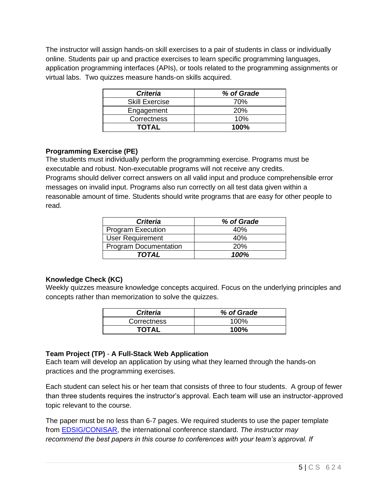The instructor will assign hands-on skill exercises to a pair of students in class or individually online. Students pair up and practice exercises to learn specific programming languages, application programming interfaces (APIs), or tools related to the programming assignments or virtual labs. Two quizzes measure hands-on skills acquired.

| <b>Criteria</b>       | % of Grade |
|-----------------------|------------|
| <b>Skill Exercise</b> | 70%        |
| Engagement            | 20%        |
| Correctness           | 10%        |
| <b>TOTAL</b>          | $100\%$    |

### **Programming Exercise (PE)**

The students must individually perform the programming exercise. Programs must be executable and robust. Non-executable programs will not receive any credits. Programs should deliver correct answers on all valid input and produce comprehensible error messages on invalid input. Programs also run correctly on all test data given within a reasonable amount of time. Students should write programs that are easy for other people to read.

| <b>Criteria</b>              | % of Grade |
|------------------------------|------------|
| <b>Program Execution</b>     | 40%        |
| <b>User Requirement</b>      | 40%        |
| <b>Program Documentation</b> | 20%        |
| TOTAL                        | 100%       |

#### **Knowledge Check (KC)**

Weekly quizzes measure knowledge concepts acquired. Focus on the underlying principles and concepts rather than memorization to solve the quizzes.

| <b>Criteria</b> | % of Grade |
|-----------------|------------|
| Correctness     | 100%       |
| <b>TOTAL</b>    | 100%       |

### **Team Project (TP)** - **A Full-Stack Web Application**

Each team will develop an application by using what they learned through the hands-on practices and the programming exercises.

Each student can select his or her team that consists of three to four students. A group of fewer than three students requires the instructor's approval. Each team will use an instructor-approved topic relevant to the course.

The paper must be no less than 6-7 pages. We required students to use the paper template from [EDSIG/CONISAR,](https://iscap-edsig.org/) the international conference standard. *The instructor may recommend the best papers in this course to conferences with your team's approval. If*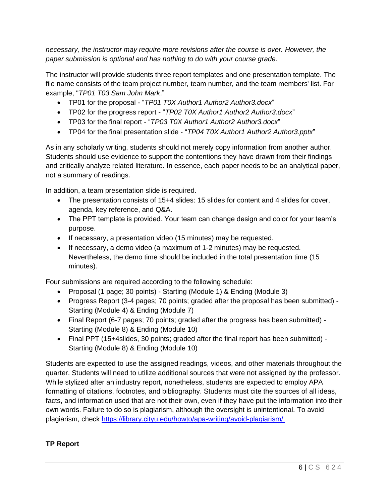*necessary, the instructor may require more revisions after the course is over. However, the paper submission is optional and has nothing to do with your course grade*.

The instructor will provide students three report templates and one presentation template. The file name consists of the team project number, team number, and the team members' list. For example, "*TP01 T03 Sam John Mark*."

- TP01 for the proposal "*TP01 T0X Author1 Author2 Author3.docx*"
- TP02 for the progress report "*TP02 T0X Author1 Author2 Author3.docx*"
- TP03 for the final report "*TP03 T0X Author1 Author2 Author3.docx*"
- TP04 for the final presentation slide "*TP04 T0X Author1 Author2 Author3.pptx*"

As in any scholarly writing, students should not merely copy information from another author. Students should use evidence to support the contentions they have drawn from their findings and critically analyze related literature. In essence, each paper needs to be an analytical paper, not a summary of readings.

In addition, a team presentation slide is required.

- The presentation consists of 15+4 slides: 15 slides for content and 4 slides for cover, agenda, key reference, and Q&A.
- The PPT template is provided. Your team can change design and color for your team's purpose.
- If necessary, a presentation video (15 minutes) may be requested.
- If necessary, a demo video (a maximum of 1-2 minutes) may be requested. Nevertheless, the demo time should be included in the total presentation time (15 minutes).

Four submissions are required according to the following schedule:

- Proposal (1 page; 30 points) Starting (Module 1) & Ending (Module 3)
- Progress Report (3-4 pages; 70 points; graded after the proposal has been submitted) Starting (Module 4) & Ending (Module 7)
- Final Report (6-7 pages; 70 points; graded after the progress has been submitted) Starting (Module 8) & Ending (Module 10)
- Final PPT (15+4slides, 30 points; graded after the final report has been submitted) Starting (Module 8) & Ending (Module 10)

Students are expected to use the assigned readings, videos, and other materials throughout the quarter. Students will need to utilize additional sources that were not assigned by the professor. While stylized after an industry report, nonetheless, students are expected to employ APA formatting of citations, footnotes, and bibliography. Students must cite the sources of all ideas, facts, and information used that are not their own, even if they have put the information into their own words. Failure to do so is plagiarism, although the oversight is unintentional. To avoid plagiarism, check [https://library.cityu.edu/howto/apa-writing/avoid-plagiarism/.](https://library.cityu.edu/howto/apa-writing/avoid-plagiarism/)

### **TP Report**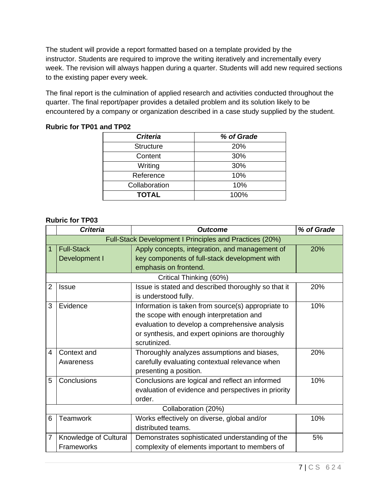The student will provide a report formatted based on a template provided by the instructor. Students are required to improve the writing iteratively and incrementally every week. The revision will always happen during a quarter. Students will add new required sections to the existing paper every week.

The final report is the culmination of applied research and activities conducted throughout the quarter. The final report/paper provides a detailed problem and its solution likely to be encountered by a company or organization described in a case study supplied by the student.

#### **Rubric for TP01 and TP02**

| % of Grade |
|------------|
| <b>20%</b> |
| 30%        |
| 30%        |
| 10%        |
| 10%        |
| 100%       |
|            |

#### **Rubric for TP03**

|   | <b>Criteria</b>                                         | <b>Outcome</b>                                      | % of Grade |  |  |
|---|---------------------------------------------------------|-----------------------------------------------------|------------|--|--|
|   | Full-Stack Development I Principles and Practices (20%) |                                                     |            |  |  |
| 1 | <b>Full-Stack</b>                                       | Apply concepts, integration, and management of      | 20%        |  |  |
|   | Development I                                           | key components of full-stack development with       |            |  |  |
|   |                                                         | emphasis on frontend.                               |            |  |  |
|   |                                                         | Critical Thinking (60%)                             |            |  |  |
| 2 | <b>Issue</b>                                            | Issue is stated and described thoroughly so that it | 20%        |  |  |
|   |                                                         | is understood fully.                                |            |  |  |
| 3 | Evidence                                                | Information is taken from source(s) appropriate to  | 10%        |  |  |
|   |                                                         | the scope with enough interpretation and            |            |  |  |
|   |                                                         | evaluation to develop a comprehensive analysis      |            |  |  |
|   |                                                         | or synthesis, and expert opinions are thoroughly    |            |  |  |
|   |                                                         | scrutinized.                                        |            |  |  |
| 4 | Context and                                             | Thoroughly analyzes assumptions and biases,         | 20%        |  |  |
|   | Awareness                                               | carefully evaluating contextual relevance when      |            |  |  |
|   |                                                         | presenting a position.                              |            |  |  |
| 5 | Conclusions                                             | Conclusions are logical and reflect an informed     | 10%        |  |  |
|   |                                                         | evaluation of evidence and perspectives in priority |            |  |  |
|   |                                                         | order.                                              |            |  |  |
|   | Collaboration (20%)                                     |                                                     |            |  |  |
| 6 | Teamwork                                                | Works effectively on diverse, global and/or         | 10%        |  |  |
|   |                                                         | distributed teams.                                  |            |  |  |
| 7 | Knowledge of Cultural                                   | Demonstrates sophisticated understanding of the     | 5%         |  |  |
|   | Frameworks                                              | complexity of elements important to members of      |            |  |  |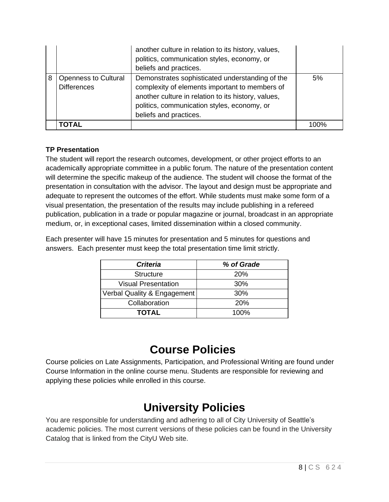|   |                                                   | another culture in relation to its history, values,<br>politics, communication styles, economy, or<br>beliefs and practices.                                                                                                      |      |
|---|---------------------------------------------------|-----------------------------------------------------------------------------------------------------------------------------------------------------------------------------------------------------------------------------------|------|
| 8 | <b>Openness to Cultural</b><br><b>Differences</b> | Demonstrates sophisticated understanding of the<br>complexity of elements important to members of<br>another culture in relation to its history, values,<br>politics, communication styles, economy, or<br>beliefs and practices. | 5%   |
|   | <b>TOTAL</b>                                      |                                                                                                                                                                                                                                   | 100% |

### **TP Presentation**

The student will report the research outcomes, development, or other project efforts to an academically appropriate committee in a public forum. The nature of the presentation content will determine the specific makeup of the audience. The student will choose the format of the presentation in consultation with the advisor. The layout and design must be appropriate and adequate to represent the outcomes of the effort. While students must make some form of a visual presentation, the presentation of the results may include publishing in a refereed publication, publication in a trade or popular magazine or journal, broadcast in an appropriate medium, or, in exceptional cases, limited dissemination within a closed community.

Each presenter will have 15 minutes for presentation and 5 minutes for questions and answers. Each presenter must keep the total presentation time limit strictly.

| <b>Criteria</b>             | % of Grade |
|-----------------------------|------------|
| <b>Structure</b>            | <b>20%</b> |
| <b>Visual Presentation</b>  | 30%        |
| Verbal Quality & Engagement | 30%        |
| Collaboration               | <b>20%</b> |
| TOTAL                       | 100%       |

### **Course Policies**

Course policies on Late Assignments, Participation, and Professional Writing are found under Course Information in the online course menu. Students are responsible for reviewing and applying these policies while enrolled in this course.

# **University Policies**

You are responsible for understanding and adhering to all of City University of Seattle's academic policies. The most current versions of these policies can be found in the University Catalog that is linked from the CityU Web site.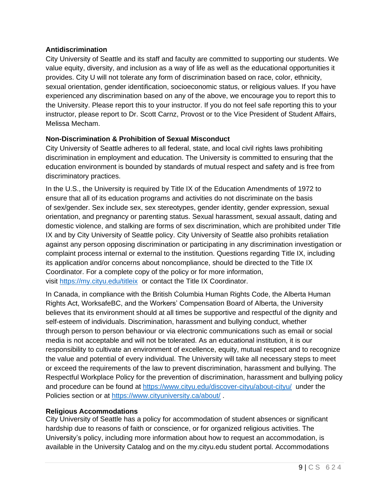#### **Antidiscrimination**

City University of Seattle and its staff and faculty are committed to supporting our students. We value equity, diversity, and inclusion as a way of life as well as the educational opportunities it provides. City U will not tolerate any form of discrimination based on race, color, ethnicity, sexual orientation, gender identification, socioeconomic status, or religious values. If you have experienced any discrimination based on any of the above, we encourage you to report this to the University. Please report this to your instructor. If you do not feel safe reporting this to your instructor, please report to Dr. Scott Carnz, Provost or to the Vice President of Student Affairs, Melissa Mecham.

#### **Non-Discrimination & Prohibition of Sexual Misconduct**

City University of Seattle adheres to all federal, state, and local civil rights laws prohibiting discrimination in employment and education. The University is committed to ensuring that the education environment is bounded by standards of mutual respect and safety and is free from discriminatory practices.

In the U.S., the University is required by Title IX of the Education Amendments of 1972 to ensure that all of its education programs and activities do not discriminate on the basis of sex/gender. Sex include sex, sex stereotypes, gender identity, gender expression, sexual orientation, and pregnancy or parenting status. Sexual harassment, sexual assault, dating and domestic violence, and stalking are forms of sex discrimination, which are prohibited under Title IX and by City University of Seattle policy. City University of Seattle also prohibits retaliation against any person opposing discrimination or participating in any discrimination investigation or complaint process internal or external to the institution. Questions regarding Title IX, including its application and/or concerns about noncompliance, should be directed to the Title IX Coordinator. For a complete copy of the policy or for more information, visit [https://my.cityu.edu/titleix](https://nam11.safelinks.protection.outlook.com/?url=https%3A%2F%2Fmy.cityu.edu%2Ftitleix&data=04%7C01%7Cchungsam%40cityu.edu%7Ce83102e3b3cd44013e6f08d90c4e2657%7Cb3fa96d9f5154662add763d854e39e63%7C1%7C0%7C637554352062965197%7CUnknown%7CTWFpbGZsb3d8eyJWIjoiMC4wLjAwMDAiLCJQIjoiV2luMzIiLCJBTiI6Ik1haWwiLCJXVCI6Mn0%3D%7C1000&sdata=BZUraLgYrW9P67gVxk2kDRNYpVceksvqmTIkcba6seg%3D&reserved=0) or contact the Title IX Coordinator.

In Canada, in compliance with the British Columbia Human Rights Code, the Alberta Human Rights Act, WorksafeBC, and the Workers' Compensation Board of Alberta, the University believes that its environment should at all times be supportive and respectful of the dignity and self-esteem of individuals. Discrimination, harassment and bullying conduct, whether through person to person behaviour or via electronic communications such as email or social media is not acceptable and will not be tolerated. As an educational institution, it is our responsibility to cultivate an environment of excellence, equity, mutual respect and to recognize the value and potential of every individual. The University will take all necessary steps to meet or exceed the requirements of the law to prevent discrimination, harassment and bullying. The Respectful Workplace Policy for the prevention of discrimination, harassment and bullying policy and procedure can be found at [https://www.cityu.edu/discover-cityu/about-cityu/](https://nam11.safelinks.protection.outlook.com/?url=https%3A%2F%2Fwww.cityu.edu%2Fdiscover-cityu%2Fabout-cityu%2F&data=04%7C01%7Cchungsam%40cityu.edu%7Ce83102e3b3cd44013e6f08d90c4e2657%7Cb3fa96d9f5154662add763d854e39e63%7C1%7C0%7C637554352062975188%7CUnknown%7CTWFpbGZsb3d8eyJWIjoiMC4wLjAwMDAiLCJQIjoiV2luMzIiLCJBTiI6Ik1haWwiLCJXVCI6Mn0%3D%7C1000&sdata=UdNUwGjXEPP3Xn8s8Gqr75JB4QZEr9tSD2WTHAfUTqE%3D&reserved=0) under the Policies section or at [https://www.cityuniversity.ca/about/](https://nam11.safelinks.protection.outlook.com/?url=https%3A%2F%2Fwww.cityuniversity.ca%2Fabout%2F&data=04%7C01%7Cchungsam%40cityu.edu%7Ce83102e3b3cd44013e6f08d90c4e2657%7Cb3fa96d9f5154662add763d854e39e63%7C1%7C0%7C637554352062975188%7CUnknown%7CTWFpbGZsb3d8eyJWIjoiMC4wLjAwMDAiLCJQIjoiV2luMzIiLCJBTiI6Ik1haWwiLCJXVCI6Mn0%3D%7C1000&sdata=5rEHqYmzK1MjEx1DKkfU6tsZrscg1nGHsTV43tadV8A%3D&reserved=0) .

#### **Religious Accommodations**

City University of Seattle has a policy for accommodation of student absences or significant hardship due to reasons of faith or conscience, or for organized religious activities. The University's policy, including more information about how to request an accommodation, is available in the University Catalog and on the my.cityu.edu student portal. Accommodations